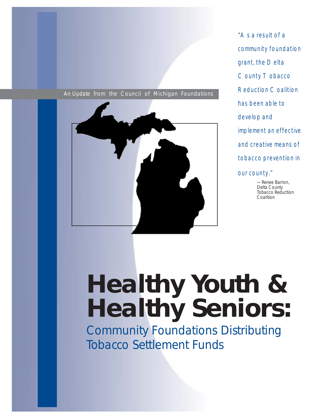#### An Update from the Council of Michigan Foundations



"As a result of a community foundation grant, the Delta County Tobacco Reduction Coalition has been able to develop and implement an effective and creative means of tobacco prevention in our county."

> —Renee Barron, Delta County Tobacco Reduction Coalition

# **Healthy Youth & Healthy Seniors:**

Community Foundations Distributing Tobacco Settlement Funds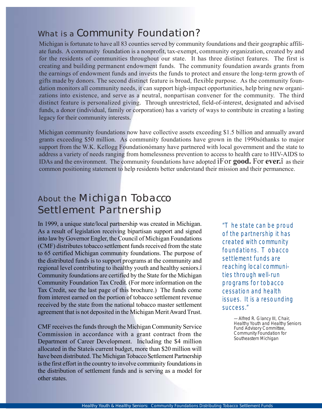## What is a Community Foundation?

Michigan is fortunate to have all 83 counties served by community foundations and their geographic affiliate funds. A community foundation is a nonprofit, tax-exempt, community organization, created by and for the residents of communities throughout our state. It has three distinct features. The first is creating and building permanent endowment funds. The community foundation awards grants from the earnings of endowment funds and invests the funds to protect and ensure the long-term growth of gifts made by donors. The second distinct feature is broad, flexible purpose. As the community foundation monitors all community needs, it can support high-impact opportunities, help bring new organizations into existence, and serve as a neutral, nonpartisan convener for the community. The third distinct feature is personalized giving. Through unrestricted, field-of-interest, designated and advised funds, a donor (individual, family or corporation) has a variety of ways to contribute in creating a lasting legacy for their community interests.

Michigan community foundations now have collective assets exceeding \$1.5 billion and annually award grants exceeding \$50 million. As community foundations have grown in the 1990sóthanks to major support from the W.K. Kellogg Foundationómany have partnered with local government and the state to address a variety of needs ranging from homelessness prevention to access to health care to HIV-AIDS to IDAs and the environment. The community foundations have adopted ìFor **good.** For **ever.**î as their common positioning statement to help residents better understand their mission and their permanence.

## About the Michigan Tobacco Settlement Partnership

In 1999, a unique state/local partnership was created in Michigan. As a result of legislation receiving bipartisan support and signed into law by Governor Engler, the Council of Michigan Foundations (CMF) distributes tobacco settlement funds received from the state to 65 certified Michigan community foundations. The purpose of the distributed funds is to support programs at the community and regional level contributing to ìhealthy youth and healthy seniors.î Community foundations are certified by the State for the Michigan Community Foundation Tax Credit. (For more information on the Tax Credit, see the last page of this brochure.) The funds come from interest earned on the portion of tobacco settlement revenue received by the state from the national tobacco master settlement agreement that is not deposited in the Michigan Merit Award Trust.

CMF receives the funds through the Michigan Community Service Commission in accordance with a grant contract from the Department of Career Development. Including the \$4 million allocated in the Stateís current budget, more than \$20 million will have been distributed. The Michigan Tobacco Settlement Partnership is the first effort in the country to involve community foundations in the distribution of settlement funds and is serving as a model for other states.

"The state can be proud of the partnership it has created with community foundations. Tobacco settlement funds are reaching local communities through well-run programs for tobacco cessation and health issues. It is a resounding success."

> —Alfred R. Glancy III, Chair, Healthy Youth and Healthy Seniors Fund Advisory Committee, Community Foundation for Southeastern Michigan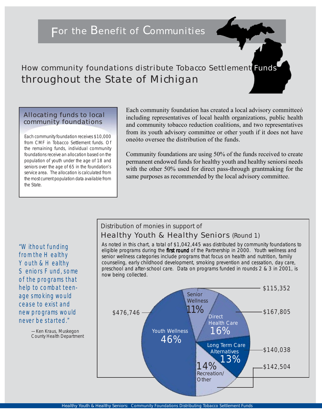## For the Benefit of Communities

How community foundations distribute Tobacco Settlement Funds throughout the State of Michigan

#### Allocating funds to local community foundations

Each community foundation receives \$10,000 from CMF in Tobacco Settlement funds. Of the remaining funds, individual community foundations receive an allocation based on the population of youth under the age of 18 and seniors over the age of 65 in the foundation's service area. The allocation is calculated from the most current population data available from the State.

Each community foundation has created a local advisory committeeó including representatives of local health organizations, public health and community tobacco reduction coalitions, and two representatives from its youth advisory committee or other youth if it does not have oneóto oversee the distribution of the funds.

Community foundations are using 50% of the funds received to create permanent endowed funds for healthy youth and healthy seniorsí needs with the other 50% used for direct pass-through grantmaking for the same purposes as recommended by the local advisory committee.

## Distribution of monies in support of Healthy Youth & Healthy Seniors (Round 1)

As noted in this chart, a total of \$1,042,445 was distributed by community foundations to eligible programs during the first round of the Partnership in 2000. Youth wellness and senior wellness categories include programs that focus on health and nutrition, family counseling, early childhood development, smoking prevention and cessation, day care, preschool and after-school care. Data on programs funded in rounds 2 & 3 in 2001, is now being collected.



"Without funding from the Healthy Youth & Healthy Seniors Fund, some of the programs that help to combat teenage smoking would cease to exist and new programs would never be started."

> —Ken Kraus, Muskegon County Health Department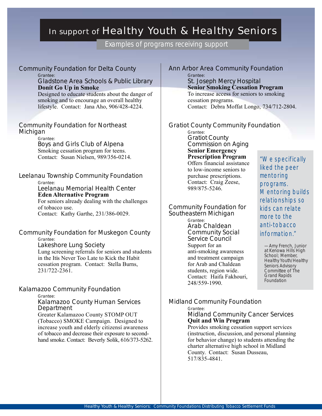# In support of Healthy Youth & Healthy Seniors

Examples of programs receiving support

| <b>Community Foundation for Delta County</b><br>Grantee:<br>Gladstone Area Schools & Public Library<br>Donít Go Up in Smoke<br>Designed to educate students about the danger of<br>smoking and to encourage an overall healthy<br>lifestyle. Contact: Jana Aho, 906/428-4224.                                                          | Ann A         |
|----------------------------------------------------------------------------------------------------------------------------------------------------------------------------------------------------------------------------------------------------------------------------------------------------------------------------------------|---------------|
|                                                                                                                                                                                                                                                                                                                                        |               |
|                                                                                                                                                                                                                                                                                                                                        |               |
| Smoking cessation program for teens.<br>Contact: Susan Nielsen, 989/356-0214.                                                                                                                                                                                                                                                          |               |
| Leelanau Township Community Foundation<br>Grantee:<br>Leelanau Memorial Health Center<br><b>Eden Alternative Program</b><br>For seniors already dealing with the challenges<br>of tobacco use.<br>Contact: Kathy Garthe, 231/386-0029.                                                                                                 | Comr<br>South |
| <b>Community Foundation for Muskegon County</b><br>Grantee:<br>Lakeshore Lung Society<br>Lung screening referrals for seniors and students<br>in the Itis Never Too Late to Kick the Habit<br>cessation program. Contact: Stella Burns,<br>231/722-2361.                                                                               |               |
| Kalamazoo Community Foundation<br>Grantee:<br>Kalamazoo County Human Services<br>Department<br>Greater Kalamazoo County STOMP OUT<br>(Tobacco) SMOKE Campaign. Designed to<br>increase youth and elderly citizensi awareness<br>of tobacco and decrease their exposure to second-<br>hand smoke. Contact: Beverly Solik, 616/373-5262. | Midla         |

Arbor Area Community Foundation Grantee: St. Joseph Mercy Hospital **Senior Smoking Cessation Program** To increase access for seniors to smoking cessation programs. Contact: Debra Moffat Longo, 734/712-2804.

#### ot County Community Foundation

Grantee: Gratiot County Commission on Aging **Senior Emergency Prescription Program** Offers financial assistance

to low-income seniors to purchase prescriptions. Contact: Craig Zeese, 989/875-5246.

nunity Foundation for eastern Michigan Grantee: Arab Chaldean Community Social Service Council Support for an anti-smoking awareness and treatment campaign for Arab and Chaldean students, region wide. Contact: Haifa Fakhouri, 248/559-1990.

"We specifically liked the peer mentoring programs. Mentoring builds relationships so kids can relate more to the anti-tobacco information."

—Amy French, Junior at Kenowa Hills High School; Member, Healthy Youth/Healthy Seniors Advisory Committee of The Grand Rapids Foundation

#### Ind Community Foundation

Grantee:

Midland Community Cancer Services **Quit and Win Program**

Provides smoking cessation support services (instruction, discussion, and personal planning for behavior change) to students attending the charter alternative high school in Midland County. Contact: Susan Dusseau, 517/835-4841.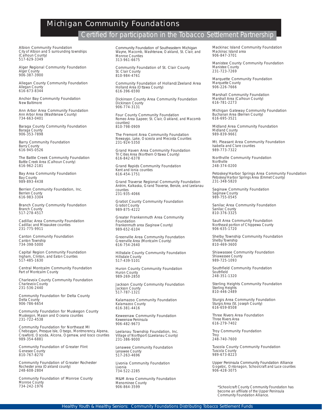## Michigan Community Foundations

### Certified for participation in the Tobacco Settlement Partnership

Albion Community Foundation City of Albion and 5 surrounding townships (Calhoun County) 517-629-3349

Alger Regional Community Foundation Alger County 906-387-3900

Allegan County Community Foundation Allegan County 616-673-8344

Anchor Bay Community Foundation New Baltimore

Ann Arbor Area Community Foundation Ann Arbor Area (Washtenaw County) 734-663-0401

Baraga County Community Foundation Baraga County 906-353-7898

Barry Community Foundation Barry County 616-945-0526

The Battle Creek Community Foundation Battle Creek Area (Calhoun County) 616-962-2181

Bay Area Community Foundation Bay County 989-893-4438

Berrien Community Foundation, Inc. Berrien County 616-983-3304

Branch County Community Foundation Branch County 517-278-4517

Cadillac Area Community Foundation Cadillac and Missaukee counties 231-775-9911

Canton Community Foundation Canton Township 734-398-5000

Capital Region Community Foundation Ingham, Clinton, and Eaton Counties 517-485-1630

Central Montcalm Community Foundation Part of Montcalm County

Charlevoix County Community Foundation Charlevoix County 231-536-2440

Community Foundation for Delta County Delta County 906-786-6654

Community Foundation for Muskegon County Muskegon, Mason and Oceana counties 231-722-4538

Community Foundation for Northeast MI Cheboygan, Presque Isle, Otsego, Montmorency, Alpena, Crawford, Oscoda, Alcona, Ogemaw, and Iosco counties 989-354-6881

Community Foundation of Greater Flint Genesee County 810-767-8270

Community Foundation of Greater Rochester Rochester area (Oakland county) 248-608-2804

Community Foundation of Monroe County Monroe County 734-242-1976

Community Foundation of Southeastern Michigan Wayne, Macomb, Washtenaw, Oakland, St. Clair, and Monroe Counties 313-961-6675

Community Foundation of St. Clair County St. Clair County 810-984-4761

Community Foundation of Holland/Zeeland Area Holland Area (Ottawa County) 616-396-6590

Dickinson County Area Community Foundation Dickinson County 906-774-3131

Four County Community Foundation Romeo Area (Lapeer, St. Clair, Oakland, and Macomb counties) 810-798-0909

The Fremont Area Community Foundation Newaygo, Lake, Osceola and Mecosta Counties 231-924-5350

Grand Haven Area Community Foundation Tri Cities Area (Northern Ottawa County) 616-842-6378

Grand Rapids Community Foundation Kent and Ionia counties 616-454-1751

Grand Traverse Regional Community Foundation Antrim, Kalkaska, Grand Traverse, Benzie, and Leelanau counties 231-935-4066

Gratiot County Community Foundation Gratiot County 989-875-4222

Greater Frankenmuth Area Community Foundation Frankenmuth area (Saginaw County) 989-652-6104

Greenville Area Community Foundation Greenville Area (Montcalm County) 616-754-2640

Hillsdale County Community Foundation Hillsdale County 517-439-5101

Huron County Community Foundation Huron County 989-269-2850

Jackson County Community Foundation Jackson County 517-787-1321

Kalamazoo Community Foundation Kalamazoo County 616-381-4416

Keweenaw Community Foundation Keweenaw Peninsula 906-482-9673

Leelanau Township Foundation, Inc. Village of Northport (LLeelanau County) 231-386-9000

Lenawee Community Foundation Lenawee County 517-263-4696

Livonia Community Foundation Livonia 734-522-2285

M&M Area Community Foundation Menominee County 906-864-3599

Mackinac Island Community Foundation Mackinac Island area 906-847-3701

Manistee County Community Foundation Manistee County 231-723-7269

Marquette Community Foundation Marquette County 906-226-7666

Marshall Community Foundation Marshall Area (Calhoun County) 616-781-2273

Michigan Gateway Community Foundation Buchanan Area (Berrien County) 616-695-3521

Midland Area Community Foundation Midland County 989-839-9661

Mt. Pleasant Area Community Foundation Isabella and Clare counties 989-773-7322

Northville Community Foundation Northville 248-374-0200

Petoskey/Harbor Springs Area Community Foundation Petoskey/Harbor Springs Area (Emmet County) 231-348-5820

Saginaw Community Foundation Saginaw County 989-755-0545

Sanilac Area Community Foundation Sanilac County 810-376-3325

Sault Area Community Foundation Northeast portion of Chippewa County 906-635-1720

Shelby Township Community Foundation Shelby Township 810-469-3600

Shiawassee Community Foundation Shiawassee County 989-725-1093

Southfield Community Foundation Southfield 248-351-1320

Sterling Heights Community Foundation Sterling Heights 810-446-2489

Sturgis Area Community Foundation Sturgis Area (St. Joseph County) 616-659-8508

Three Rivers Area Foundation Three Rivers Area 616-279-7402

Troy Community Foundation **Troy** 248-740-7600

Tuscola County Community Foundation Tuscola County 989-673-8223

Upper Peninsula Community Foundation Alliance Gogebic, Ontonagon, Schoolcraft and Luce counties 906-428-3075

\*Schoolcraft County Community Foundation has become an affiliate of the Upper Peninsula Community Foundation Alliance.